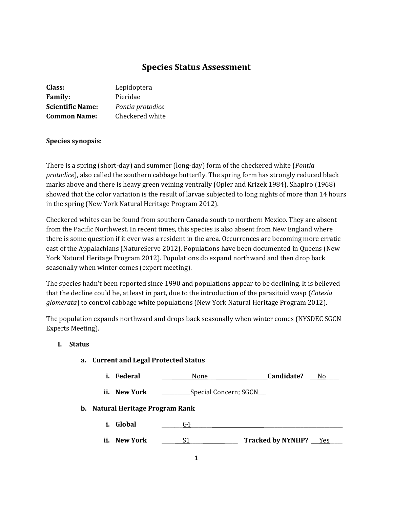# **Species Status Assessment**

| Class:                  | Lepidoptera      |
|-------------------------|------------------|
| <b>Family:</b>          | Pieridae         |
| <b>Scientific Name:</b> | Pontia protodice |
| <b>Common Name:</b>     | Checkered white  |

### **Species synopsis**:

There is a spring (short-day) and summer (long-day) form of the checkered white (*Pontia protodice*), also called the southern cabbage butterfly. The spring form has strongly reduced black marks above and there is heavy green veining ventrally (Opler and Krizek 1984). Shapiro (1968) showed that the color variation is the result of larvae subjected to long nights of more than 14 hours in the spring (New York Natural Heritage Program 2012).

Checkered whites can be found from southern Canada south to northern Mexico. They are absent from the Pacific Northwest. In recent times, this species is also absent from New England where there is some question if it ever was a resident in the area. Occurrences are becoming more erratic east of the Appalachians (NatureServe 2012). Populations have been documented in Queens (New York Natural Heritage Program 2012). Populations do expand northward and then drop back seasonally when winter comes (expert meeting).

The species hadn't been reported since 1990 and populations appear to be declining. It is believed that the decline could be, at least in part, due to the introduction of the parasitoid wasp (*Cotesia glomerata*) to control cabbage white populations (New York Natural Heritage Program 2012).

The population expands northward and drops back seasonally when winter comes (NYSDEC SGCN Experts Meeting).

#### **I. Status**

- **a. Current and Legal Protected Status**
	- **i. Federal \_\_\_\_ \_\_\_\_\_\_\_**None**\_\_\_ \_\_\_\_\_\_\_\_Candidate? \_\_\_**No\_\_\_\_\_
	- **ii. New York \_\_\_\_\_\_\_\_\_\_\_**Special Concern; SGCN\_\_\_
- **b. Natural Heritage Program Rank**
	- **i. Global** \_\_\_\_\_\_\_\_G4**\_\_\_\_\_\_\_\_ \_\_\_\_\_\_\_\_\_\_\_\_\_\_\_\_\_\_\_\_\_\_\_\_\_\_\_\_\_\_**
	- **ii. New York \_\_\_\_\_\_\_**\_S1**\_\_\_\_\_ \_\_\_\_\_ Tracked by NYNHP?** \_\_\_Yes\_\_\_\_\_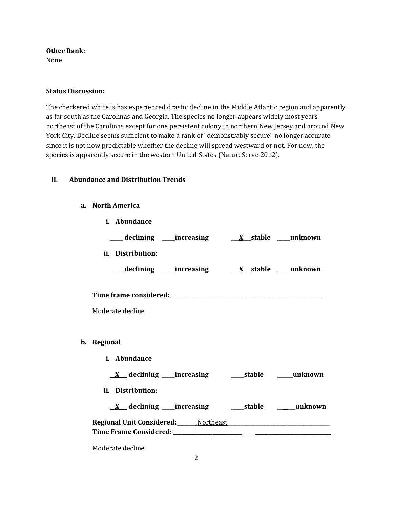#### **Other Rank:**

None

### **Status Discussion:**

The checkered white is has experienced drastic decline in the Middle Atlantic region and apparently as far south as the Carolinas and Georgia. The species no longer appears widely most years northeast of the Carolinas except for one persistent colony in northern New Jersey and around New York City. Decline seems sufficient to make a rank of "demonstrably secure" no longer accurate since it is not now predictable whether the decline will spread westward or not. For now, the species is apparently secure in the western United States (NatureServe 2012).

# **II. Abundance and Distribution Trends**

### **a. North America**

**b**.

| i. Abundance                                                                                                   |
|----------------------------------------------------------------------------------------------------------------|
| ___declining ___increasing ___ <u>X</u> _stable ___unknown                                                     |
| ii. Distribution:                                                                                              |
| ___ declining ____increasing ____ <u>X</u> __stable ____unknown                                                |
|                                                                                                                |
|                                                                                                                |
| Moderate decline                                                                                               |
|                                                                                                                |
| Regional                                                                                                       |
| i. Abundance                                                                                                   |
|                                                                                                                |
| ii. Distribution:                                                                                              |
|                                                                                                                |
| Regional Unit Considered: Mortheast Manual Museum Museum Museum Museum Museum Museum Museum Museum Museum Muse |
| Moderate decline                                                                                               |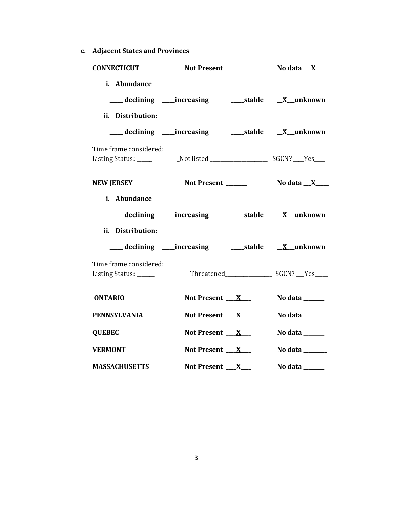**c. Adjacent States and Provinces**

| <b>CONNECTICUT</b>                        | Not Present ______                                             |                                   |
|-------------------------------------------|----------------------------------------------------------------|-----------------------------------|
| i. Abundance                              |                                                                |                                   |
| ii. Distribution:                         | ___ declining ____increasing ______stable __ <u>X</u> _unknown |                                   |
|                                           |                                                                |                                   |
| <b>NEW JERSEY</b>                         | Not Present ______                                             | No data $\_\ X$                   |
| i. Abundance<br>ii. Distribution:         | ___ declining ____increasing ______stable __ <u>X</u> _unknown |                                   |
| Time frame considered: __________________ |                                                                |                                   |
| <b>ONTARIO</b>                            | Not Present $X_{-}$                                            | No data ______                    |
| <b>PENNSYLVANIA</b>                       | Not Present $X_{-}$                                            | No data ______                    |
| <b>QUEBEC</b>                             | Not Present $\mathbf{X}$                                       | No data $\_\_\_\_\_\_\_\_\_\_\_\$ |
| <b>VERMONT</b>                            | Not Present $X_{-}$                                            | No data ______                    |
| <b>MASSACHUSETTS</b>                      | Not Present $X_{-}$                                            | No data $\_\_\_\_\_\_\_\_\_\_\_\$ |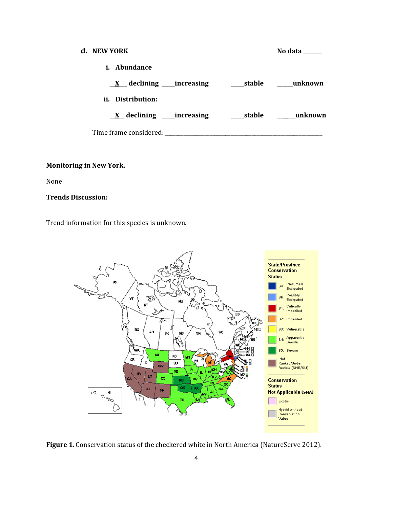| d. NEW YORK                                 |  | No data               |
|---------------------------------------------|--|-----------------------|
| <i>i.</i> Abundance                         |  |                       |
| $\underline{X}$ declining _____increasing   |  | stable <u>unknown</u> |
| ii. Distribution:                           |  |                       |
| $\underline{X}$ declining ______ increasing |  | stable <u>unknown</u> |
| Time frame considered:                      |  |                       |

# **Monitoring in New York.**

None

#### **Trends Discussion:**

Trend information for this species is unknown.



**Figure 1**. Conservation status of the checkered white in North America (NatureServe 2012).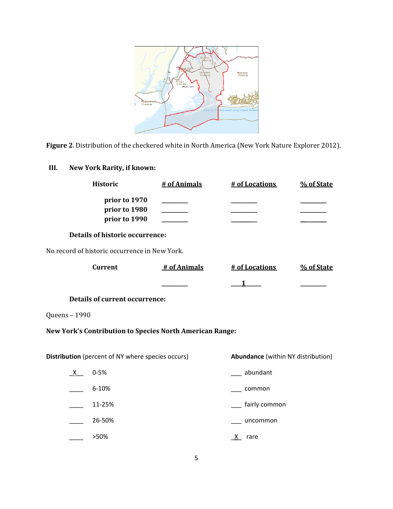

**Figure 2**. Distribution of the checkered white in North America (New York Nature Explorer 2012).

# **III. New York Rarity, if known:**

| <b>Historic</b>                                                 | # of Animals | # of Locations                            | % of State |
|-----------------------------------------------------------------|--------------|-------------------------------------------|------------|
| prior to 1970<br>prior to 1980<br>prior to 1990                 |              |                                           |            |
| <b>Details of historic occurrence:</b>                          |              |                                           |            |
| No record of historic occurrence in New York.                   |              |                                           |            |
| <b>Current</b>                                                  | # of Animals | # of Locations                            | % of State |
|                                                                 |              |                                           |            |
| <b>Details of current occurrence:</b>                           |              |                                           |            |
| Queens - 1990                                                   |              |                                           |            |
| <b>New York's Contribution to Species North American Range:</b> |              |                                           |            |
|                                                                 |              |                                           |            |
| Distribution (percent of NY where species occurs)               |              | <b>Abundance</b> (within NY distribution) |            |
| $0 - 5%$<br>X.                                                  |              | abundant                                  |            |
| 6-10%                                                           |              | common                                    |            |
| 11-25%                                                          |              | fairly common                             |            |
| 26-50%                                                          |              | uncommon                                  |            |

\_\_\_\_ >50% \_X\_ rare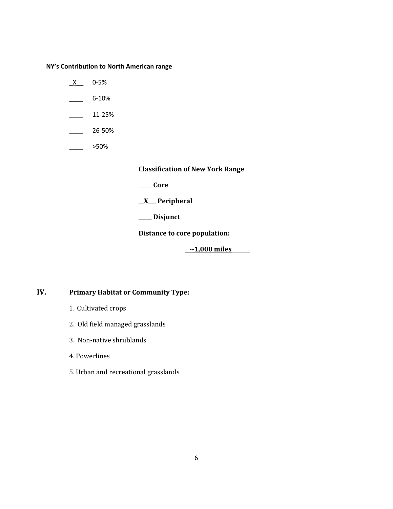**NY's Contribution to North American range**

- $X$  0-5%
- $\frac{6-10\%}{2}$
- $\frac{11-25\%}{25}$
- $-26 50\%$
- \_\_\_\_ >50%

**Classification of New York Range**

**\_\_\_\_\_ Core**

**\_\_X\_\_\_ Peripheral**

**\_\_\_\_\_ Disjunct**

**Distance to core population:**

**\_\_~1,000 miles\_\_\_\_\_\_\_**

# **IV. Primary Habitat or Community Type:**

- 1. Cultivated crops
- 2. Old field managed grasslands
- 3. Non-native shrublands
- 4. Powerlines
- 5. Urban and recreational grasslands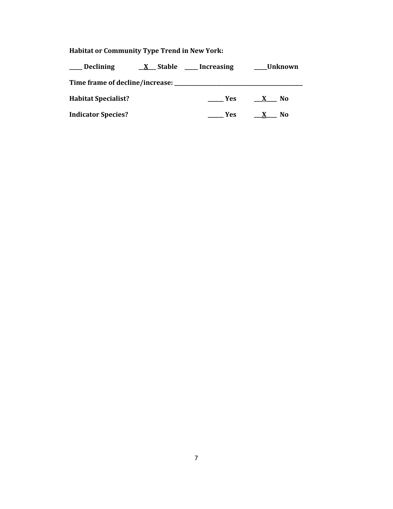# **Habitat or Community Type Trend in New York:**

| <b>Declining</b>                | <b>X</b> Stable | Increasing | Unknown  |
|---------------------------------|-----------------|------------|----------|
| Time frame of decline/increase: |                 |            |          |
| <b>Habitat Specialist?</b>      |                 | <b>Yes</b> | No.      |
| <b>Indicator Species?</b>       |                 | Yes        | No.<br>X |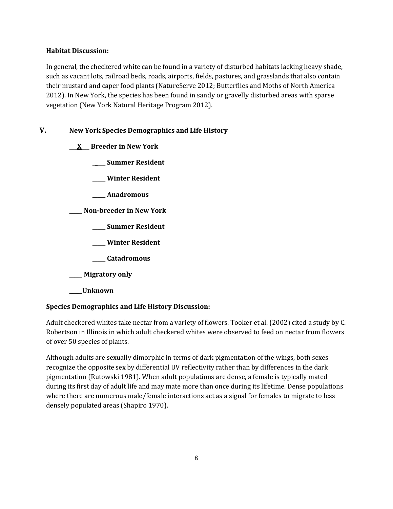### **Habitat Discussion:**

In general, the checkered white can be found in a variety of disturbed habitats lacking heavy shade, such as vacant lots, railroad beds, roads, airports, fields, pastures, and grasslands that also contain their mustard and caper food plants (NatureServe 2012; Butterflies and Moths of North America 2012). In New York, the species has been found in sandy or gravelly disturbed areas with sparse vegetation (New York Natural Heritage Program 2012).

# **V. New York Species Demographics and Life History**

# **\_\_\_X\_\_\_ Breeder in New York**

**\_\_\_\_\_ Summer Resident**

**\_\_\_\_\_ Winter Resident**

**\_\_\_\_\_ Anadromous**

**\_\_\_\_\_ Non-breeder in New York**

**\_\_\_\_\_ Summer Resident**

**\_\_\_\_\_ Winter Resident**

**\_\_\_\_\_ Catadromous**

**\_\_\_\_\_ Migratory only**

**\_\_\_\_\_Unknown**

# **Species Demographics and Life History Discussion:**

Adult checkered whites take nectar from a variety of flowers. Tooker et al. (2002) cited a study by C. Robertson in Illinois in which adult checkered whites were observed to feed on nectar from flowers of over 50 species of plants.

Although adults are sexually dimorphic in terms of dark pigmentation of the wings, both sexes recognize the opposite sex by differential UV reflectivity rather than by differences in the dark pigmentation (Rutowski 1981). When adult populations are dense, a female is typically mated during its first day of adult life and may mate more than once during its lifetime. Dense populations where there are numerous male/female interactions act as a signal for females to migrate to less densely populated areas (Shapiro 1970).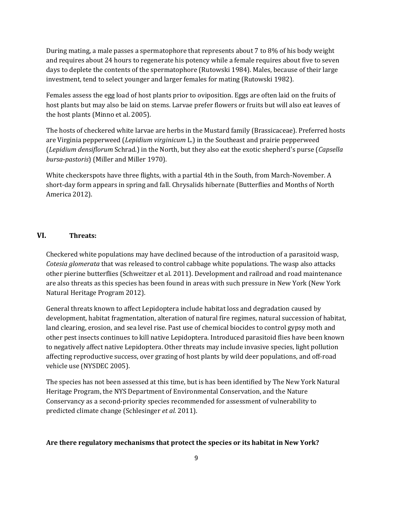During mating, a male passes a spermatophore that represents about 7 to 8% of his body weight and requires about 24 hours to regenerate his potency while a female requires about five to seven days to deplete the contents of the spermatophore (Rutowski 1984). Males, because of their large investment, tend to select younger and larger females for mating (Rutowski 1982).

Females assess the egg load of host plants prior to oviposition. Eggs are often laid on the fruits of host plants but may also be laid on stems. Larvae prefer flowers or fruits but will also eat leaves of the host plants (Minno et al. 2005).

The hosts of checkered white larvae are herbs in the Mustard family (Brassicaceae). Preferred hosts are Virginia pepperweed (*Lepidium virginicum* L.) in the Southeast and prairie pepperweed (*Lepidium densiflorum* Schrad.) in the North, but they also eat the exotic shepherd's purse (*Capsella bursa-pastoris*) (Miller and Miller 1970).

White checkerspots have three flights, with a partial 4th in the South, from March-November. A short-day form appears in spring and fall. Chrysalids hibernate (Butterflies and Months of North America 2012).

#### **VI. Threats:**

Checkered white populations may have declined because of the introduction of a parasitoid wasp, *Cotesia glomerata* that was released to control cabbage white populations. The wasp also attacks other pierine butterflies (Schweitzer et al. 2011). Development and railroad and road maintenance are also threats as this species has been found in areas with such pressure in New York (New York Natural Heritage Program 2012).

General threats known to affect Lepidoptera include habitat loss and degradation caused by development, habitat fragmentation, alteration of natural fire regimes, natural succession of habitat, land clearing, erosion, and sea level rise. Past use of chemical biocides to control gypsy moth and other pest insects continues to kill native Lepidoptera. Introduced parasitoid flies have been known to negatively affect native Lepidoptera. Other threats may include invasive species, light pollution affecting reproductive success, over grazing of host plants by wild deer populations, and off-road vehicle use (NYSDEC 2005).

The species has not been assessed at this time, but is has been identified by The New York Natural Heritage Program, the NYS Department of Environmental Conservation, and the Nature Conservancy as a second-priority species recommended for assessment of vulnerability to predicted climate change (Schlesinger *et al.* 2011).

#### **Are there regulatory mechanisms that protect the species or its habitat in New York?**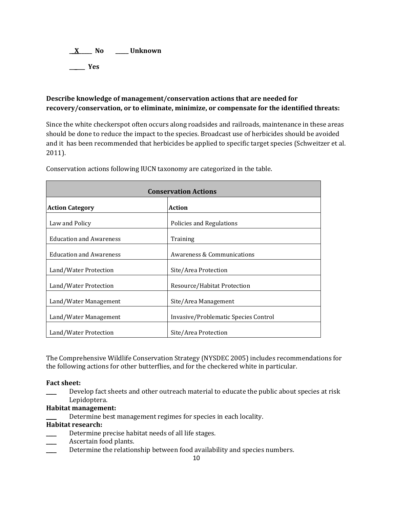**\_\_X\_\_\_\_\_ No \_\_\_\_\_ Unknown \_\_\_\_\_\_ Yes** 

# **Describe knowledge of management/conservation actions that are needed for recovery/conservation, or to eliminate, minimize, or compensate for the identified threats:**

Since the white checkerspot often occurs along roadsides and railroads, maintenance in these areas should be done to reduce the impact to the species. Broadcast use of herbicides should be avoided and it has been recommended that herbicides be applied to specific target species (Schweitzer et al. 2011).

| <b>Conservation Actions</b>    |                                      |  |
|--------------------------------|--------------------------------------|--|
| <b>Action Category</b>         | <b>Action</b>                        |  |
| Law and Policy                 | Policies and Regulations             |  |
| <b>Education and Awareness</b> | Training                             |  |
| <b>Education and Awareness</b> | Awareness & Communications           |  |
| Land/Water Protection          | Site/Area Protection                 |  |
| Land/Water Protection          | Resource/Habitat Protection          |  |
| Land/Water Management          | Site/Area Management                 |  |
| Land/Water Management          | Invasive/Problematic Species Control |  |
| Land/Water Protection          | Site/Area Protection                 |  |

Conservation actions following IUCN taxonomy are categorized in the table.

The Comprehensive Wildlife Conservation Strategy (NYSDEC 2005) includes recommendations for the following actions for other butterflies, and for the checkered white in particular.

# **Fact sheet:**

\_\_\_\_ Develop fact sheets and other outreach material to educate the public about species at risk Lepidoptera.

# **Habitat management:**

Determine best management regimes for species in each locality.

#### **Habitat research:**

- Determine precise habitat needs of all life stages.
- Ascertain food plants.
- Determine the relationship between food availability and species numbers.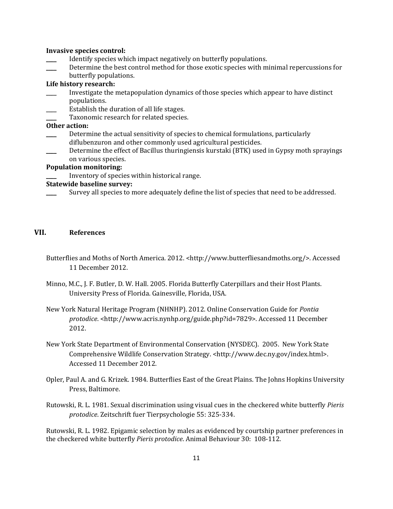#### **Invasive species control:**

- Identify species which impact negatively on butterfly populations.
- Determine the best control method for those exotic species with minimal repercussions for butterfly populations.

#### **Life history research:**

- \_\_\_\_ Investigate the metapopulation dynamics of those species which appear to have distinct populations.
- Establish the duration of all life stages.
- Taxonomic research for related species.

#### **Other action:**

- Determine the actual sensitivity of species to chemical formulations, particularly diflubenzuron and other commonly used agricultural pesticides.
- Determine the effect of Bacillus thuringiensis kurstaki (BTK) used in Gypsy moth sprayings on various species.

#### **Population monitoring:**

Inventory of species within historical range.

#### **Statewide baseline survey:**

Survey all species to more adequately define the list of species that need to be addressed.

#### **VII. References**

- Butterflies and Moths of North America. 2012. <http://www.butterfliesandmoths.org/>. Accessed 11 December 2012.
- Minno, M.C., J. F. Butler, D. W. Hall. 2005. Florida Butterfly Caterpillars and their Host Plants. University Press of Florida. Gainesville, Florida, USA.
- New York Natural Heritage Program (NHNHP). 2012. Online Conservation Guide for *Pontia protodice*. <http://www.acris.nynhp.org/guide.php?id=7829>. Accessed 11 December 2012.
- New York State Department of Environmental Conservation (NYSDEC). 2005. New York State Comprehensive Wildlife Conservation Strategy. <http://www.dec.ny.gov/index.html>. Accessed 11 December 2012.
- Opler, Paul A. and G. Krizek. 1984. Butterflies East of the Great Plains. The Johns Hopkins University Press, Baltimore.
- Rutowski, R. L. 1981. Sexual discrimination using visual cues in the checkered white butterfly *Pieris protodice*. Zeitschrift fuer Tierpsychologie 55: 325-334.

Rutowski, R. L. 1982. Epigamic selection by males as evidenced by courtship partner preferences in the checkered white butterfly *Pieris protodice*. Animal Behaviour 30: 108-112.